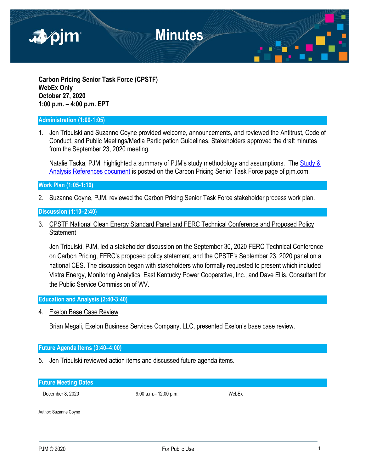

**Carbon Pricing Senior Task Force (CPSTF) WebEx Only October 27, 2020 1:00 p.m. – 4:00 p.m. EPT**

### **Administration (1:00-1:05)**

1. Jen Tribulski and Suzanne Coyne provided welcome, announcements, and reviewed the Antitrust, Code of Conduct, and Public Meetings/Media Participation Guidelines. Stakeholders approved the draft minutes from the September 23, 2020 meeting.

Natalie Tacka, PJM, highlighted a summary of PJM's study methodology and assumptions. The [Study &](https://www.pjm.com/-/media/committees-groups/task-forces/cpstf/postings/study-and-analysis-references.ashx?la=en)  [Analysis References document](https://www.pjm.com/-/media/committees-groups/task-forces/cpstf/postings/study-and-analysis-references.ashx?la=en) is posted on the Carbon Pricing Senior Task Force page of pjm.com.

**Work Plan (1:05-1:10)**

2. Suzanne Coyne, PJM, reviewed the Carbon Pricing Senior Task Force stakeholder process work plan.

**Discussion (1:10–2:40)**

3. CPSTF National Clean Energy Standard Panel and FERC Technical Conference and Proposed Policy **Statement** 

Jen Tribulski, PJM, led a stakeholder discussion on the September 30, 2020 FERC Technical Conference on Carbon Pricing, FERC's proposed policy statement, and the CPSTF's September 23, 2020 panel on a national CES. The discussion began with stakeholders who formally requested to present which included Vistra Energy, Monitoring Analytics, East Kentucky Power Cooperative, Inc., and Dave Ellis, Consultant for the Public Service Commission of WV.

**Education and Analysis (2:40-3:40)**

4. Exelon Base Case Review

Brian Megali, Exelon Business Services Company, LLC, presented Exelon's base case review.

### **Future Agenda Items (3:40–4:00)**

5. Jen Tribulski reviewed action items and discussed future agenda items.

| <b>Future Meeting Dates</b> |                           |       |
|-----------------------------|---------------------------|-------|
| December 8, 2020            | $9:00$ a.m. $-12:00$ p.m. | WebEx |
| Author: Suzanne Coyne       |                           |       |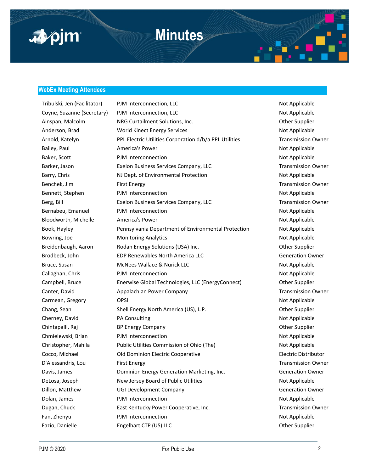

#### **WebEx Meeting Attendees**

Tribulski, Jen (Facilitator) PJM Interconnection, LLC Not Applicable Not Applicable Coyne, Suzanne (Secretary) PJM Interconnection, LLC Not Applicable Not Applicable Ainspan, Malcolm **NRG Curtailment Solutions, Inc.** New York Curtailment Solutions, Inc. **Case Communist Communist Communist Communist Communist Communist Communist Communist Communist Communist Communist Communist Communis** Anderson, Brad **Morld Kinect Energy Services** Not Applicable Arnold, Katelyn **PRL Electric Utilities Corporation d/b/a PPL Utilities** Transmission Owner Bailey, Paul **America's Power Not Applicable** Not Applicable Baker, Scott **PJM Interconnection** and **PJM Interconnection** Not Applicable Barker, Jason **Exelon Business Services Company, LLC** Transmission Owner Barry, Chris **NJ Dept. of Environmental Protection** Not Applicable Benchek, Jim First Energy Transmission Owner Bennett, Stephen PJM Interconnection Not Applicable Berg, Bill **Exelon Business Services Company, LLC** Transmission Owner Bernabeu, Emanuel PJM Interconnection Not Applicable Bloodworth, Michelle America's Power America's Power Not Applicable Book, Hayley **Pennsylvania Department of Environmental Protection** Not Applicable Bowring, Joe **Monitoring Analytics** Not Applicable Breidenbaugh, Aaron **Rodan Energy Solutions (USA) Inc.** The Communication of the Supplier Brodbeck, John **EDP Renewables North America LLC** Generation Owner Bruce, Susan **McNees Wallace & Nurick LLC** Not Applicable Callaghan, Chris **PJM Interconnection** Not Applicable Campbell, Bruce Enerwise Global Technologies, LLC (EnergyConnect) Other Supplier Canter, David **Appalachian Power Company Transmission Owner** Canter, David Carmean, Gregory **OPSI** OPSI 2009 **OPSI** 2009 **Not Applicable** Chang, Sean Shell Energy North America (US), L.P. Chang, Sean Other Supplier Cherney, David **PA Consulting Consulting Cherney** Not Applicable Chintapalli, Raj **BP Energy Company Company Company** Chintapalli, Raj **Other Supplier** Chmielewski, Brian **PJM Interconnection** Not Applicable Christopher, Mahila Public Utilities Commission of Ohio (The) Not Applicable Cocco, Michael Old Dominion Electric Cooperative Electric Distributor D'Alessandris, Lou First Energy First Energy Fransmission Owner Davis, James Dominion Energy Generation Marketing, Inc. Generation Owner DeLosa, Joseph New Jersey Board of Public Utilities Not Applicable Dillon, Matthew **COLO** UGI Development Company Generation Owner Dolan, James **PJM Interconnection** Not Applicable Dugan, Chuck **East Kentucky Power Cooperative, Inc.** The East School of Transmission Owner Fan, Zhenyu **PJM Interconnection** Not Applicable Fazio, Danielle **Engelhart CTP (US) LLC** CHECHON COMET COMET COMET COMET COMET COMET COMET COMET COMET COMET COME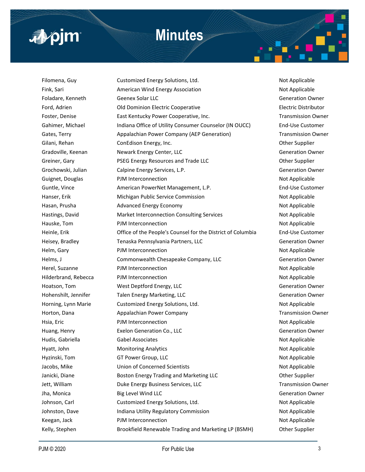# apim

### **Minutes**

Filomena, Guy Customized Energy Solutions, Ltd. Not Applicable Fink, Sari **American Wind Energy Association** Not Applicable Not Applicable Foladare, Kenneth Geenex Solar LLC Generation Owner Ford, Adrien **Electric Cooperative Electric Distributor** Electric Distributor Foster, Denise **East Kentucky Power Cooperative, Inc.** The East School of Transmission Owner Gahimer, Michael **Indiana Office of Utility Consumer Counselor (IN OUCC)** End-Use Customer Gates, Terry **Appalachian Power Company (AEP Generation)** Transmission Owner Gilani, Rehan ConEdison Energy, Inc. Concerned a state of the Supplier Concerned Supplier Gradoville, Keenan **Newark Energy Center, LLC** Chronicle Gradoville, Keenan Owner Greiner, Gary **PSEG Energy Resources and Trade LLC Communist Construction** Other Supplier Grochowski, Julian Calpine Energy Services, L.P. Contract Contract Ceneration Owner Guignet, Douglas **PJM Interconnection** and Not Applicable Not Applicable Guntle, Vince **American PowerNet Management, L.P.** End-Use Customer Hanser, Erik **Michigan Public Service Commission** Not Applicable Not Applicable Hasan, Prusha **Advanced Energy Economy Not Applicable** Not Applicable Hastings, David **Market Interconnection Consulting Services** Not Applicable Hauske, Tom **PJM Interconnection** Not Applicable Heinle, Erik Office of the People's Counsel for the District of Columbia End-Use Customer Heisey, Bradley **Tenaska Pennsylvania Partners, LLC** Generation Owner Helm, Gary **PJM Interconnection** Not Applicable Helms, J Commonwealth Chesapeake Company, LLC Generation Owner Herel, Suzanne **Not Applicable** PJM Interconnection Not Applicable Hilderbrand, Rebecca **PJM Interconnection** Not Applicable Hoatson, Tom **West Deptford Energy, LLC** Generation Owner Hohenshilt, Jennifer Talen Energy Marketing, LLC and the Communist Ceneration Owner Horning, Lynn Marie Customized Energy Solutions, Ltd. Not Applicable Horton, Dana **Appalachian Power Company Transmission Owner** Transmission Owner Hsia, Eric **Example 2018** PJM Interconnection Not Applicable Not Applicable Huang, Henry **Exelon Generation Co., LLC** Exercise **Constanting Constanting Constanting Constanting Constanting Constanting Constanting Constanting Constanting Constanting Constanting Constanting Constanting Constanting Co** Hudis, Gabriella **Gabel Associates** Not Applicable Not Applicable Hyatt, John **Monitoring Analytics** Not Applicable Not Applicable Hyzinski, Tom GT Power Group, LLC Not Applicable Not Applicable Jacobs, Mike **Science Is a Union of Concerned Scientists** Not Applicable Not Applicable Janicki, Diane **Boston Energy Trading and Marketing LLC Boston Energy Trading and Marketing LLC Change Other Supplier** Jett, William **Duke Energy Business Services, LLC** Transmission Owner Jha, Monica Big Level Wind LLC Generation Owner Johnson, Carl Customized Energy Solutions, Ltd. Not Applicable Johnston, Dave **Indiana Utility Regulatory Commission** Not Applicable Keegan, Jack **PJM Interconnection** Not Applicable Kelly, Stephen **Brookfield Renewable Trading and Marketing LP (BSMH)** Other Supplier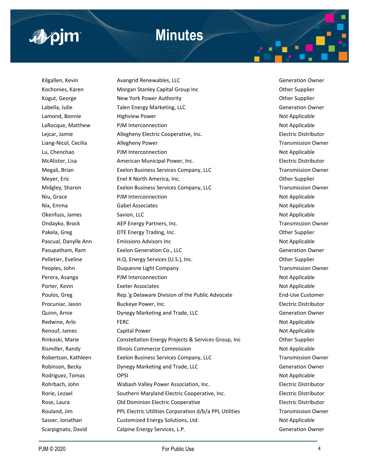## **Minutes**



Kilgallen, Kevin **Avangrid Renewables, LLC** Chronicle Communist Chronicle Chronicle Chronicle Chronicle Chronicle Kochonies, Karen **Morgan Stanley Capital Group Inc** Communication of the Supplier Kogut, George **New York Power Authority New York Power Authority New York Power Authority Channel Authority Other Supplier** Labella, Julie Talen Energy Marketing, LLC Generation Owner Lamond, Bonnie **Mitchell Highview Power** Not Applicable Not Applicable LaRocque, Matthew PJM Interconnection Not Applicable Lejcar, Jamie Allegheny Electric Cooperative, Inc. Electric Distributor Liang-Nicol, Cecilia 2012 Allegheny Power 2012 12:30 Allegheny Power Transmission Owner Lu, Chenchao **PJM Interconnection** Not Applicable McAlister, Lisa American Municipal Power, Inc. Electric Distributor Megali, Brian **Exelon Business Services Company, LLC** Transmission Owner Meyer, Eric **Enel X North America, Inc.** Channel Communist Channel Other Supplier Midgley, Sharon **Exelon Business Services Company, LLC** Transmission Owner Niu, Grace **Night Connection** PJM Interconnection Niu, Grace Not Applicable Nix, Emma Gabel Associates **Not Applicable** Not Applicable Okenfuss, James Savion, LLC Savion, LLC Savion, LLC Savion, LLC Savion, LLC Savion, LLC Savion, LLC Savion, LLC Savion, LLC Savion, LLC Savion, LLC Savion, LLC Savion, LLC Savion, LLC Savion, LLC Savion, LLC Savion, LLC Sa Ondayko, Brock **AEP Energy Partners, Inc.** The Condayton owner and the Condayton Owner Pakela, Greg **DTE Energy Trading, Inc.** Character Communication Cher Supplier Pascual, Danylle Ann **Emissions Advisors Inc** Not Applicable Pasupatham, Ram Exelon Generation Co., LLC Chronical Generation Owner Pelletier, Eveline **H.Q. Energy Services (U.S.), Inc.** Change of the Supplier of the Supplier Peoples, John **Duquesne Light Company Transmission Owner** Transmission Owner Perera, Asanga **PJM Interconnection** Not Applicable Porter, Kevin **Exeter Associates** Not Applicable Poulos, Greg Rep.'g Delaware Division of the Public Advocate End-Use Customer Procuniar, Jason Buckeye Power, Inc. Electric Distributor Quinn, Arnie **Example 20 Example 20 Dynegy Marketing and Trade, LLC** Communist Communist Ceneration Owner Redwine, Arlo **FERC** FERC **FERC FERC** *Redwine, Arlo**Applicable Redwine, Arlo**Applicable* Renouf, James Capital Power Not Applicable Not Applicable Rinkoski, Marie **Constellation Energy Projects & Services Group**, Inc Cher Supplier Rismiller, Randy **Illinois Commerce Commission** Not Applicable Robertson, Kathleen **Exelon Business Services Company, LLC** Transmission Owner Robinson, Becky **Dynegy Marketing and Trade, LLC** Generation Owner Rodriguez, Tomas **OPSI** OPSI Not Applicable Rohrbach, John Wabash Valley Power Association, Inc. Electric Distributor Rorie, Lezael **Southern Maryland Electric Cooperative**, Inc. **Electric Distributor** Electric Distributor Rose, Laura **Electric Cooperative Electric Cooperative** Electric Distributor Rouland, Jim **PRL Electric Utilities Corporation d/b/a PPL Utilities** Transmission Owner Sasser, Jonathan Customized Energy Solutions, Ltd. Not Applicable Scarpignato, David Calpine Energy Services, L.P. Canadian Communication Owner